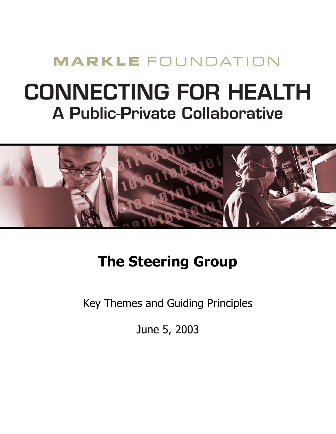## **MARKLE FOUNDATION**

# **CONNECTING FOR HEALTH A Public-Private Collaborative**



## **The Steering Group**

Key Themes and Guiding Principles

June 5, 2003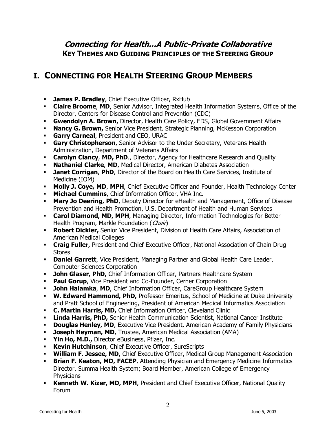### **Connecting for Health...A Public-Private Collaborative KEY THEMES AND GUIDING PRINCIPLES OF THE STEERING GROUP**

## **I. CONNECTING FOR HEALTH STEERING GROUP MEMBERS**

- **· James P. Bradley**, Chief Executive Officer, RxHub
- ! **Claire Broome**, **MD**, Senior Advisor, Integrated Health Information Systems, Office of the Director, Centers for Disease Control and Prevention (CDC)
- ! **Gwendolyn A. Brown,** Director, Health Care Policy, EDS, Global Government Affairs
- **Nancy G. Brown, Senior Vice President, Strategic Planning, McKesson Corporation**
- ! **Garry Carneal**, President and CEO, URAC
- ! **Gary Christopherson**, Senior Advisor to the Under Secretary, Veterans Health Administration, Department of Veterans Affairs
- ! **Carolyn Clancy**, **MD, PhD**., Director, Agency for Healthcare Research and Quality
- ! **Nathaniel Clarke**, **MD**, Medical Director, American Diabetes Association
- **Janet Corrigan, PhD, Director of the Board on Health Care Services, Institute of** Medicine (IOM)
- **Molly J. Coye, MD, MPH, Chief Executive Officer and Founder, Health Technology Center**
- ! **Michael Cummins**, Chief Information Officer, VHA Inc.
- **Mary Jo Deering, PhD**, Deputy Director for eHealth and Management, Office of Disease Prevention and Health Promotion, U.S. Department of Health and Human Services
- **Carol Diamond, MD, MPH**, Managing Director, Information Technologies for Better Health Program, Markle Foundation (Chair)
- ! **Robert Dickler,** Senior Vice President, Division of Health Care Affairs, Association of American Medical Colleges
- ! **Craig Fuller,** President and Chief Executive Officer, National Association of Chain Drug **Stores**
- **Daniel Garrett**, Vice President, Managing Partner and Global Health Care Leader, Computer Sciences Corporation
- **.** John Glaser, PhD, Chief Information Officer, Partners Healthcare System
- **Paul Gorup**, Vice President and Co-Founder, Cerner Corporation
- **. John Halamka, MD, Chief Information Officer, CareGroup Healthcare System**
- ! **W. Edward Hammond, PhD,** Professor Emeritus, School of Medicine at Duke University and Pratt School of Engineering, President of American Medical Informatics Association
- **C. Martin Harris, MD, Chief Information Officer, Cleveland Clinic**
- **Linda Harris, PhD,** Senior Health Communication Scientist, National Cancer Institute
- **Douglas Henley, MD**, Executive Vice President, American Academy of Family Physicians
- **E. Joseph Heyman, MD**, Trustee, American Medical Association (AMA)
- ! **Yin Ho, M.D.,** Director eBusiness, Pfizer, Inc.
- ! **Kevin Hutchinson**, Chief Executive Officer, SureScripts
- **William F. Jessee, MD,** Chief Executive Officer, Medical Group Management Association
- **Brian F. Keaton, MD, FACEP**, Attending Physician and Emergency Medicine Informatics Director, Summa Health System; Board Member, American College of Emergency **Physicians**
- **Kenneth W. Kizer, MD, MPH**, President and Chief Executive Officer, National Quality Forum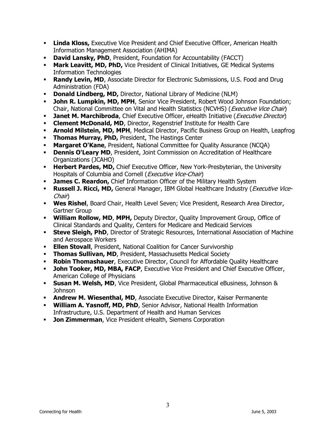- **Linda Kloss,** Executive Vice President and Chief Executive Officer, American Health Information Management Association (AHIMA)
- **David Lansky, PhD**, President, Foundation for Accountability (FACCT)
- **Mark Leavitt, MD, PhD, Vice President of Clinical Initiatives, GE Medical Systems** Information Technologies
- **Randy Levin, MD**, Associate Director for Electronic Submissions, U.S. Food and Drug Administration (FDA)
- **Donald Lindberg, MD, Director, National Library of Medicine (NLM)**
- **.** John R. Lumpkin, MD, MPH, Senior Vice President, Robert Wood Johnson Foundation; Chair, National Committee on Vital and Health Statistics (NCVHS) (*Executive Vice Chair*)
- **Janet M. Marchibroda**, Chief Executive Officer, eHealth Initiative (*Executive Director*)
- **Clement McDonald, MD**, Director, Regenstrief Institute for Health Care
- **Arnold Milstein, MD, MPH**, Medical Director, Pacific Business Group on Health, Leapfrog
- ! **Thomas Murray, PhD,** President, The Hastings Center
- **Margaret O'Kane**, President, National Committee for Quality Assurance (NCQA)
- **Dennis O'Leary MD**, President, Joint Commission on Accreditation of Healthcare Organizations (JCAHO)
- **E. Herbert Pardes, MD,** Chief Executive Officer, New York-Presbyterian, the University Hospitals of Columbia and Cornell (*Executive Vice-Chair*)
- **James C. Reardon, Chief Information Officer of the Military Health System**
- **Russell J. Ricci, MD,** General Manager, IBM Global Healthcare Industry (*Executive Vice-*Chair)
- ! **Wes Rishel**, Board Chair, Health Level Seven; Vice President, Research Area Director, Gartner Group
- ! **William Rollow, MD**, **MPH,** Deputy Director, Quality Improvement Group, Office of Clinical Standards and Quality, Centers for Medicare and Medicaid Services
- **· Steve Sleigh, PhD**, Director of Strategic Resources, International Association of Machine and Aerospace Workers
- **Ellen Stovall**, President, National Coalition for Cancer Survivorship
- **Thomas Sullivan, MD**, President, Massachusetts Medical Society
- **Robin Thomashauer**, Executive Director, Council for Affordable Quality Healthcare
- **· John Tooker, MD, MBA, FACP**, Executive Vice President and Chief Executive Officer, American College of Physicians
- **Susan M. Welsh, MD**, Vice President, Global Pharmaceutical eBusiness, Johnson & Johnson
- **Andrew M. Wiesenthal, MD**, Associate Executive Director, Kaiser Permanente
- ! **William A. Yasnoff, MD, PhD**, Senior Advisor, National Health Information Infrastructure, U.S. Department of Health and Human Services
- **.** Jon Zimmerman, Vice President eHealth, Siemens Corporation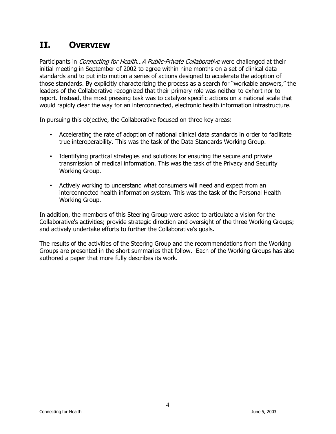## **II. OVERVIEW**

Participants in *Connecting for Health...A Public-Private Collaborative* were challenged at their initial meeting in September of 2002 to agree within nine months on a set of clinical data standards and to put into motion a series of actions designed to accelerate the adoption of those standards. By explicitly characterizing the process as a search for "workable answers," the leaders of the Collaborative recognized that their primary role was neither to exhort nor to report. Instead, the most pressing task was to catalyze specific actions on a national scale that would rapidly clear the way for an interconnected, electronic health information infrastructure.

In pursuing this objective, the Collaborative focused on three key areas:

- Accelerating the rate of adoption of national clinical data standards in order to facilitate true interoperability. This was the task of the Data Standards Working Group.
- Identifying practical strategies and solutions for ensuring the secure and private transmission of medical information. This was the task of the Privacy and Security Working Group.
- Actively working to understand what consumers will need and expect from an interconnected health information system. This was the task of the Personal Health Working Group.

In addition, the members of this Steering Group were asked to articulate a vision for the Collaborative's activities; provide strategic direction and oversight of the three Working Groups; and actively undertake efforts to further the Collaborative's goals.

The results of the activities of the Steering Group and the recommendations from the Working Groups are presented in the short summaries that follow. Each of the Working Groups has also authored a paper that more fully describes its work.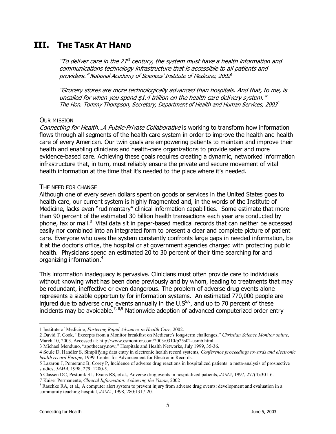## **III. THE TASK AT HAND**

"To deliver care in the 21<sup>st</sup> century, the system must have a health information and communications technology infrastructure that is accessible to all patients and providers." National Academy of Sciences' Institute of Medicine, 2002<sup>1</sup>

ìGrocery stores are more technologically advanced than hospitals. And that, to me, is uncalled for when you spend \$1.4 trillion on the health care delivery system." The Hon. Tommy Thompson, Secretary, Department of Health and Human Services, 2003<sup>2</sup>

#### OUR MISSION

Connecting for Health...A Public-Private Collaborative is working to transform how information flows through all segments of the health care system in order to improve the health and health care of every American. Our twin goals are empowering patients to maintain and improve their health and enabling clinicians and health-care organizations to provide safer and more evidence-based care. Achieving these goals requires creating a dynamic, networked information infrastructure that, in turn, must reliably ensure the private and secure movement of vital health information at the time that it's needed to the place where it's needed.

#### THE NEED FOR CHANGE

Although one of every seven dollars spent on goods or services in the United States goes to health care, our current system is highly fragmented and, in the words of the Institute of Medicine, lacks even "rudimentary" clinical information capabilities. Some estimate that more than 90 percent of the estimated 30 billion health transactions each year are conducted by phone, fax or mail.<sup>3</sup> Vital data sit in paper-based medical records that can neither be accessed easily nor combined into an integrated form to present a clear and complete picture of patient care. Everyone who uses the system constantly confronts large gaps in needed information, be it at the doctorís office, the hospital or at government agencies charged with protecting public health. Physicians spend an estimated 20 to 30 percent of their time searching for and organizing information.4

This information inadequacy is pervasive. Clinicians must often provide care to individuals without knowing what has been done previously and by whom, leading to treatments that may be redundant, ineffective or even dangerous. The problem of adverse drug events alone represents a sizable opportunity for information systems. An estimated 770,000 people are injured due to adverse drug events annually in the  $U.S^{5,6}$ , and up to 70 percent of these incidents may be avoidable.<sup>7, 8,9</sup> Nationwide adoption of advanced computerized order entry

 $\overline{a}$ 

<sup>1</sup> Institute of Medicine, *Fostering Rapid Advances in Health Care*, 2002.

<sup>2</sup> David T. Cook, "Excerpts from a Monitor breakfast on Medicare's long-term challenges," *Christian Science Monitor online*, March 10, 2003. Accessed at: http://www.csmonitor.com/2003/0310/p25s02-usmb.html

<sup>3</sup> Michael Menduno, "apothecary.now," Hospitals and Health Networks, July 1999, 35-36.

<sup>4</sup> Soule D, Handler S, Simplifying data entry in electronic health record systems, *Conference proceedings towards and electronic health record Europe*, 1999, Center for Advancement for Electronic Records.

<sup>5</sup> Lazarou J, Pomeranz B, Corey P, Incidence of adverse drug reactions in hospitalized patients: a meta-analysis of prospective studies, *JAMA*, 1998, 279: 1200-5.

<sup>6</sup> Classen DC, Pestonik SL, Evans RS, et al., Adverse drug events in hospitalized patients, *JAMA*, 1997, 277(4):301-6. 7 Kaiser Permanente, *Clinical Information: Achieving the Vision*, 2002 8

<sup>&</sup>lt;sup>8</sup> Raschke RA, et al., A computer alert system to prevent injury from adverse drug events: development and evaluation in a community teaching hospital, *JAMA*, 1998, 280:1317-20.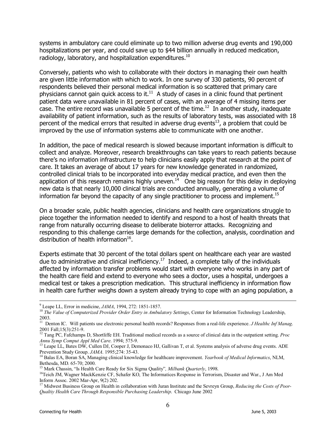systems in ambulatory care could eliminate up to two million adverse drug events and 190,000 hospitalizations per year, and could save up to \$44 billion annually in reduced medication, radiology, laboratory, and hospitalization expenditures.<sup>10</sup>

Conversely, patients who wish to collaborate with their doctors in managing their own health are given little information with which to work. In one survey of 330 patients, 90 percent of respondents believed their personal medical information is so scattered that primary care physicians cannot gain quick access to it. $11$  A study of cases in a clinic found that pertinent patient data were unavailable in 81 percent of cases, with an average of 4 missing items per case. The entire record was unavailable 5 percent of the time.<sup>12</sup> In another study, inadequate availability of patient information, such as the results of laboratory tests, was associated with 18 percent of the medical errors that resulted in adverse drug events<sup>13</sup>, a problem that could be improved by the use of information systems able to communicate with one another.

In addition, the pace of medical research is slowed because important information is difficult to collect and analyze. Moreover, research breakthroughs can take years to reach patients because there's no information infrastructure to help clinicians easily apply that research at the point of care. It takes an average of about 17 years for new knowledge generated in randomized, controlled clinical trials to be incorporated into everyday medical practice, and even then the application of this research remains highly uneven.<sup>14</sup> One big reason for this delay in deploying new data is that nearly 10,000 clinical trials are conducted annually, generating a volume of information far beyond the capacity of any single practitioner to process and implement.<sup>15</sup>

On a broader scale, public health agencies, clinicians and health care organizations struggle to piece together the information needed to identify and respond to a host of health threats that range from naturally occurring disease to deliberate bioterror attacks. Recognizing and responding to this challenge carries large demands for the collection, analysis, coordination and distribution of health information<sup>16</sup>.

Experts estimate that 30 percent of the total dollars spent on healthcare each year are wasted due to administrative and clinical inefficiency.<sup>17</sup> Indeed, a complete tally of the individuals affected by information transfer problems would start with everyone who works in any part of the health care field and extend to everyone who sees a doctor, uses a hospital, undergoes a medical test or takes a prescription medication. This structural inefficiency in information flow in health care further weighs down a system already trying to cope with an aging population, a

<sup>-&</sup>lt;br>9

<sup>&</sup>lt;sup>9</sup> Leape LL, Error in medicine, *JAMA*, 1994, 272: 1851-1857.<br><sup>10</sup> *The Value of Computerized Provider Order Entry in Ambulatory Settings*, Center for Information Technology Leadership, 2003.

<sup>&</sup>lt;sup>11</sup> Denton IC. Will patients use electronic personal health records? Responses from a real-life experience. *J Healthc Inf Manag*. 2001 Fall;15(3):251-9.

<sup>12</sup> Tang PC, Fafchamps D, Shortliffe EH. Traditional medical records as a source of clinical data in the outpatient setting. *Proc* 

*Annu Symp Comput Appl Med Care.* 1994; 575-9.<br><sup>13</sup> Leape LL, Bates DW, Cullen DJ, Cooper J, Demonaco HJ, Gallivan T, et al. Systems analysis of adverse drug events. ADE<br>Prevention Study Group. *JAMA*. 1995:274: 35-43.

<sup>&</sup>lt;sup>14</sup> Balas EA, Boran SA, Managing clinical knowledge for healthcare improvement. *Yearbook of Medical Informatics*, NLM, Bethesda, MD. 65-70; 2000.<br><sup>15</sup> Mark Chassin, "Is Health Care Ready for Six Sigma Quality", *Milbank Quarterly*, 1998.

<sup>&</sup>lt;sup>16</sup> Teich JM, Wagner MackKenzie CF, Schafer KO, The Informatices Response in Terrorism, Disaster and War., J Am Med Inform Assoc. 2002 Mar-Apr, 9(2) 202.

<sup>&</sup>lt;sup>17</sup> Midwest Business Group on Health in collaboration with Juran Institute and the Sevreyn Group, *Reducing the Costs of Poor-Qualtiy Health Care Through Responsible Purchasing Leadership*. Chicago June 2002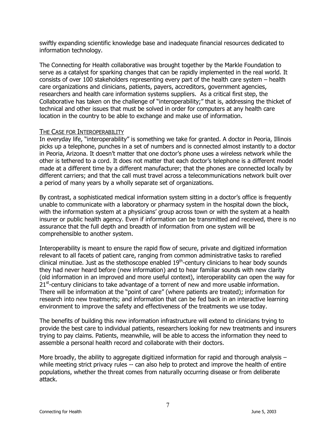swiftly expanding scientific knowledge base and inadequate financial resources dedicated to information technology.

The Connecting for Health collaborative was brought together by the Markle Foundation to serve as a catalyst for sparking changes that can be rapidly implemented in the real world. It consists of over 100 stakeholders representing every part of the health care system  $-$  health care organizations and clinicians, patients, payers, accreditors, government agencies, researchers and health care information systems suppliers. As a critical first step, the Collaborative has taken on the challenge of "interoperability;" that is, addressing the thicket of technical and other issues that must be solved in order for computers at any health care location in the country to be able to exchange and make use of information.

#### THE CASE FOR INTEROPERABILITY

In everyday life, "interoperability" is something we take for granted. A doctor in Peoria, Illinois picks up a telephone, punches in a set of numbers and is connected almost instantly to a doctor in Peoria, Arizona. It doesn't matter that one doctor's phone uses a wireless network while the other is tethered to a cord. It does not matter that each doctor's telephone is a different model made at a different time by a different manufacturer; that the phones are connected locally by different carriers; and that the call must travel across a telecommunications network built over a period of many years by a wholly separate set of organizations.

By contrast, a sophisticated medical information system sitting in a doctor's office is frequently unable to communicate with a laboratory or pharmacy system in the hospital down the block, with the information system at a physicians' group across town or with the system at a health insurer or public health agency. Even if information can be transmitted and received, there is no assurance that the full depth and breadth of information from one system will be comprehensible to another system.

Interoperability is meant to ensure the rapid flow of secure, private and digitized information relevant to all facets of patient care, ranging from common administrative tasks to rarefied clinical minutiae. Just as the stethoscope enabled  $19<sup>th</sup>$ -century clinicians to hear body sounds they had never heard before (new information) and to hear familiar sounds with new clarity (old information in an improved and more useful context), interoperability can open the way for  $21<sup>st</sup>$ -century clinicians to take advantage of a torrent of new and more usable information. There will be information at the "point of care" (where patients are treated); information for research into new treatments; and information that can be fed back in an interactive learning environment to improve the safety and effectiveness of the treatments we use today.

The benefits of building this new information infrastructure will extend to clinicians trying to provide the best care to individual patients, researchers looking for new treatments and insurers trying to pay claims. Patients, meanwhile, will be able to access the information they need to assemble a personal health record and collaborate with their doctors.

More broadly, the ability to aggregate digitized information for rapid and thorough analysis  $$ while meeting strict privacy rules -- can also help to protect and improve the health of entire populations, whether the threat comes from naturally occurring disease or from deliberate attack.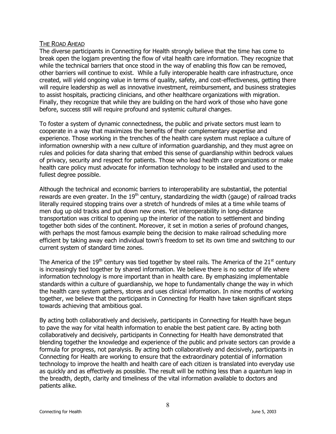#### THE ROAD AHEAD

The diverse participants in Connecting for Health strongly believe that the time has come to break open the logjam preventing the flow of vital health care information. They recognize that while the technical barriers that once stood in the way of enabling this flow can be removed, other barriers will continue to exist. While a fully interoperable health care infrastructure, once created, will yield ongoing value in terms of quality, safety, and cost-effectiveness, getting there will require leadership as well as innovative investment, reimbursement, and business strategies to assist hospitals, practicing clinicians, and other healthcare organizations with migration. Finally, they recognize that while they are building on the hard work of those who have gone before, success still will require profound and systemic cultural changes.

To foster a system of dynamic connectedness, the public and private sectors must learn to cooperate in a way that maximizes the benefits of their complementary expertise and experience. Those working in the trenches of the health care system must replace a culture of information ownership with a new culture of information guardianship, and they must agree on rules and policies for data sharing that embed this sense of guardianship within bedrock values of privacy, security and respect for patients. Those who lead health care organizations or make health care policy must advocate for information technology to be installed and used to the fullest degree possible.

Although the technical and economic barriers to interoperability are substantial, the potential rewards are even greater. In the  $19<sup>th</sup>$  century, standardizing the width (gauge) of railroad tracks literally required stopping trains over a stretch of hundreds of miles at a time while teams of men dug up old tracks and put down new ones. Yet interoperability in long-distance transportation was critical to opening up the interior of the nation to settlement and binding together both sides of the continent. Moreover, it set in motion a series of profound changes, with perhaps the most famous example being the decision to make railroad scheduling more efficient by taking away each individual town's freedom to set its own time and switching to our current system of standard time zones.

The America of the  $19<sup>th</sup>$  century was tied together by steel rails. The America of the  $21<sup>st</sup>$  century is increasingly tied together by shared information. We believe there is no sector of life where information technology is more important than in health care. By emphasizing implementable standards within a culture of guardianship, we hope to fundamentally change the way in which the health care system gathers, stores and uses clinical information. In nine months of working together, we believe that the participants in Connecting for Health have taken significant steps towards achieving that ambitious goal.

By acting both collaboratively and decisively, participants in Connecting for Health have begun to pave the way for vital health information to enable the best patient care. By acting both collaboratively and decisively, participants in Connecting for Health have demonstrated that blending together the knowledge and experience of the public and private sectors can provide a formula for progress, not paralysis. By acting both collaboratively and decisively, participants in Connecting for Health are working to ensure that the extraordinary potential of information technology to improve the health and health care of each citizen is translated into everyday use as quickly and as effectively as possible. The result will be nothing less than a quantum leap in the breadth, depth, clarity and timeliness of the vital information available to doctors and patients alike.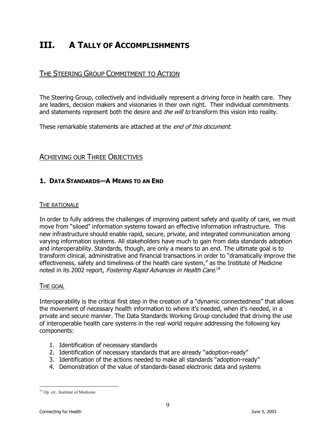## **III. A TALLY OF ACCOMPLISHMENTS**

#### THE STEERING GROUP COMMITMENT TO ACTION

The Steering Group, collectively and individually represent a driving force in health care. They are leaders, decision makers and visionaries in their own right. Their individual commitments and statements represent both the desire and *the will to* transform this vision into reality.

These remarkable statements are attached at the *end of this document*.

#### ACHIEVING OUR THREE OBJECTIVES

#### **1. DATA STANDARDS-A MEANS TO AN END**

#### THE RATIONALE

In order to fully address the challenges of improving patient safety and quality of care, we must move from "siloed" information systems toward an effective information infrastructure. This new infrastructure should enable rapid, secure, private, and integrated communication among varying information systems. All stakeholders have much to gain from data standards adoption and interoperability. Standards, though, are only a means to an end. The ultimate goal is to transform clinical, administrative and financial transactions in order to "dramatically improve the effectiveness, safety and timeliness of the health care system," as the Institute of Medicine noted in its 2002 report, *Fostering Rapid Advances in Health Care*.<sup>18</sup>

#### THE GOAL

Interoperability is the critical first step in the creation of a "dynamic connectedness" that allows the movement of necessary health information to where it's needed, when it's needed, in a private and secure manner. The Data Standards Working Group concluded that driving the use of interoperable health care systems in the real world require addressing the following key components:

- 1. Identification of necessary standards
- 2. Identification of necessary standards that are already "adoption-ready"
- 3. Identification of the actions needed to make all standards "adoption-ready"
- 4. Demonstration of the value of standards-based electronic data and systems

 $\overline{a}$ <sup>18</sup> Op. cit., Institute of Medicine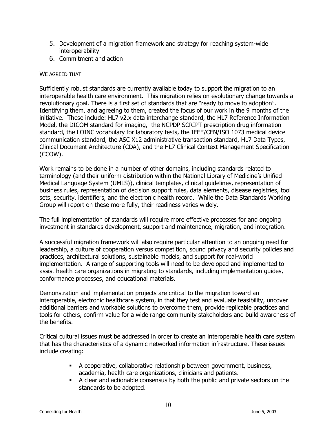- 5. Development of a migration framework and strategy for reaching system-wide interoperability
- 6. Commitment and action

#### WE AGREED THAT

Sufficiently robust standards are currently available today to support the migration to an interoperable health care environment. This migration relies on evolutionary change towards a revolutionary goal. There is a first set of standards that are "ready to move to adoption". Identifying them, and agreeing to them, created the focus of our work in the 9 months of the initiative. These include: HL7 v2.x data interchange standard, the HL7 Reference Information Model, the DICOM standard for imaging, the NCPDP SCRIPT prescription drug information standard, the LOINC vocabulary for laboratory tests, the IEEE/CEN/ISO 1073 medical device communication standard, the ASC X12 administrative transaction standard, HL7 Data Types, Clinical Document Architecture (CDA), and the HL7 Clinical Context Management Specification (CCOW).

Work remains to be done in a number of other domains, including standards related to terminology (and their uniform distribution within the National Library of Medicineís Unified Medical Language System (UMLS)), clinical templates, clinical guidelines, representation of business rules, representation of decision support rules, data elements, disease registries, tool sets, security, identifiers, and the electronic health record. While the Data Standards Working Group will report on these more fully, their readiness varies widely.

The full implementation of standards will require more effective processes for and ongoing investment in standards development, support and maintenance, migration, and integration.

A successful migration framework will also require particular attention to an ongoing need for leadership, a culture of cooperation versus competition, sound privacy and security policies and practices, architectural solutions, sustainable models, and support for real-world implementation. A range of supporting tools will need to be developed and implemented to assist health care organizations in migrating to standards, including implementation guides, conformance processes, and educational materials.

Demonstration and implementation projects are critical to the migration toward an interoperable, electronic healthcare system, in that they test and evaluate feasibility, uncover additional barriers and workable solutions to overcome them, provide replicable practices and tools for others, confirm value for a wide range community stakeholders and build awareness of the benefits.

Critical cultural issues must be addressed in order to create an interoperable health care system that has the characteristics of a dynamic networked information infrastructure. These issues include creating:

- ! A cooperative, collaborative relationship between government, business, academia, health care organizations, clinicians and patients.
- ! A clear and actionable consensus by both the public and private sectors on the standards to be adopted.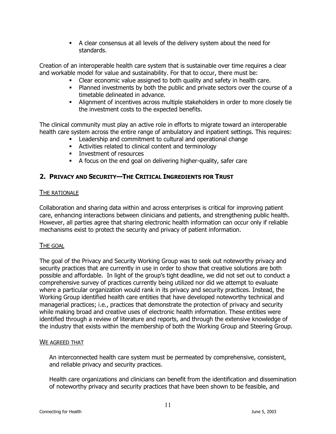! A clear consensus at all levels of the delivery system about the need for standards.

Creation of an interoperable health care system that is sustainable over time requires a clear and workable model for value and sustainability. For that to occur, there must be:

- ! Clear economic value assigned to both quality and safety in health care.
- ! Planned investments by both the public and private sectors over the course of a timetable delineated in advance.
- ! Alignment of incentives across multiple stakeholders in order to more closely tie the investment costs to the expected benefits.

The clinical community must play an active role in efforts to migrate toward an interoperable health care system across the entire range of ambulatory and inpatient settings. This requires:

- ! Leadership and commitment to cultural and operational change
- ! Activities related to clinical content and terminology
- **EXECUTE:** Investment of resources
- ! A focus on the end goal on delivering higher-quality, safer care

#### **2. PRIVACY AND SECURITY—THE CRITICAL INGREDIENTS FOR TRUST**

#### THE RATIONALE

Collaboration and sharing data within and across enterprises is critical for improving patient care, enhancing interactions between clinicians and patients, and strengthening public health. However, all parties agree that sharing electronic health information can occur only if reliable mechanisms exist to protect the security and privacy of patient information.

#### THE GOAL

The goal of the Privacy and Security Working Group was to seek out noteworthy privacy and security practices that are currently in use in order to show that creative solutions are both possible and affordable. In light of the group's tight deadline, we did not set out to conduct a comprehensive survey of practices currently being utilized nor did we attempt to evaluate where a particular organization would rank in its privacy and security practices. Instead, the Working Group identified health care entities that have developed noteworthy technical and managerial practices; i.e., practices that demonstrate the protection of privacy and security while making broad and creative uses of electronic health information. These entities were identified through a review of literature and reports, and through the extensive knowledge of the industry that exists within the membership of both the Working Group and Steering Group.

#### WE AGREED THAT

An interconnected health care system must be permeated by comprehensive, consistent, and reliable privacy and security practices.

Health care organizations and clinicians can benefit from the identification and dissemination of noteworthy privacy and security practices that have been shown to be feasible, and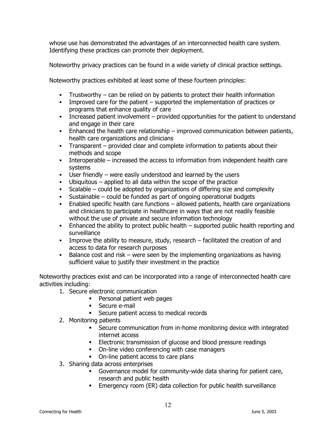whose use has demonstrated the advantages of an interconnected health care system. Identifying these practices can promote their deployment.

Noteworthy privacy practices can be found in a wide variety of clinical practice settings.

Noteworthy practices exhibited at least some of these fourteen principles:

- **Trustworthy can be relied on by patients to protect their health information**
- **Improved care for the patient supported the implementation of practices or** programs that enhance quality of care
- . Increased patient involvement provided opportunities for the patient to understand and engage in their care
- **Enhanced the health care relationship improved communication between patients,** health care organizations and clinicians
- **Transparent provided clear and complete information to patients about their** methods and scope
- **Interoperable increased the access to information from independent health care** systems
- $\blacksquare$  User friendly were easily understood and learned by the users
- $\blacksquare$  Ubiquitous applied to all data within the scope of the practice
- **EXECO SCALABLE F COULD SCALABLE F** Scalable  $-$  could be adopted by organizations of differing size and complexity
- **Example Sustainable could be funded as part of ongoing operational budgets**
- $\blacksquare$  Enabled specific health care functions  $\blacksquare$  allowed patients, health care organizations and clinicians to participate in healthcare in ways that are not readily feasible without the use of private and secure information technology
- $\blacksquare$  Enhanced the ability to protect public health  $\blacksquare$  supported public health reporting and surveillance
- **IMPROVE the ability to measure, study, research facilitated the creation of and** access to data for research purposes
- $\blacksquare$  Balance cost and risk were seen by the implementing organizations as having sufficient value to justify their investment in the practice

Noteworthy practices exist and can be incorporated into a range of interconnected health care activities including:

- 1. Secure electronic communication
	- **Personal patient web pages**
	- **Secure e-mail**
	- ! Secure patient access to medical records
- 2. Monitoring patients
	- ! Secure communication from in-home monitoring device with integrated internet access
	- **Electronic transmission of glucose and blood pressure readings**
	- ! On-line video conferencing with case managers
	- ! On-line patient access to care plans
- 3. Sharing data across enterprises
	- ! Governance model for community-wide data sharing for patient care, research and public health
	- **Emergency room (ER) data collection for public health surveillance**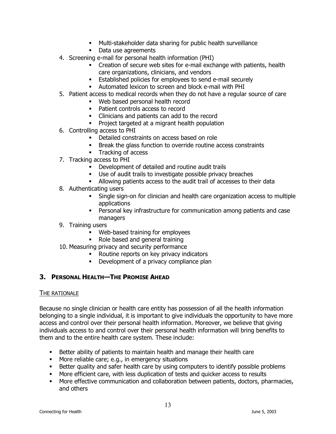- ! Multi-stakeholder data sharing for public health surveillance
- Data use agreements
- 4. Screening e-mail for personal health information (PHI)
	- ! Creation of secure web sites for e-mail exchange with patients, health care organizations, clinicians, and vendors
	- ! Established policies for employees to send e-mail securely
	- ! Automated lexicon to screen and block e-mail with PHI
- 5. Patient access to medical records when they do not have a regular source of care
	- ! Web based personal health record
	- ! Patient controls access to record
	- ! Clinicians and patients can add to the record
	- ! Project targeted at a migrant health population
- 6. Controlling access to PHI
	- ! Detailed constraints on access based on role
	- ! Break the glass function to override routine access constraints
	- **Tracking of access**
- 7. Tracking access to PHI
	- ! Development of detailed and routine audit trails
	- ! Use of audit trails to investigate possible privacy breaches
	- ! Allowing patients access to the audit trail of accesses to their data
- 8. Authenticating users
	- ! Single sign-on for clinician and health care organization access to multiple applications
	- ! Personal key infrastructure for communication among patients and case managers
- 9. Training users
	- ! Web-based training for employees
	- ! Role based and general training
- 10. Measuring privacy and security performance
	- ! Routine reports on key privacy indicators
	- **•** Development of a privacy compliance plan

#### **3. PERSONAL HEALTH-THE PROMISE AHEAD**

#### THE RATIONALE

Because no single clinician or health care entity has possession of all the health information belonging to a single individual, it is important to give individuals the opportunity to have more access and control over their personal health information. Moreover, we believe that giving individuals access to and control over their personal health information will bring benefits to them and to the entire health care system. These include:

- ! Better ability of patients to maintain health and manage their health care
- ! More reliable care; e.g., in emergency situations
- **.** Better quality and safer health care by using computers to identify possible problems
- ! More efficient care, with less duplication of tests and quicker access to results
- ! More effective communication and collaboration between patients, doctors, pharmacies, and others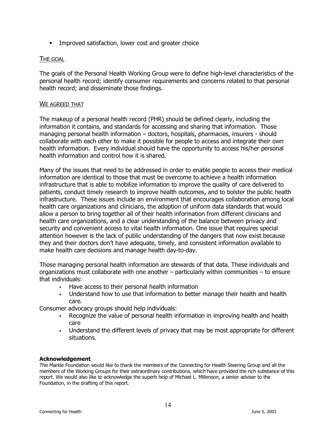! Improved satisfaction, lower cost and greater choice

#### THE GOAL

The goals of the Personal Health Working Group were to define high-level characteristics of the personal health record; identify consumer requirements and concerns related to that personal health record; and disseminate those findings.

#### WE AGREED THAT

The makeup of a personal health record (PHR) should be defined clearly, including the information it contains, and standards for accessing and sharing that information. Those managing personal health information  $-$  doctors, hospitals, pharmacies, insurers - should collaborate with each other to make it possible for people to access and integrate their own health information. Every individual should have the opportunity to access his/her personal health information and control how it is shared.

Many of the issues that need to be addressed in order to enable people to access their medical information are identical to those that must be overcome to achieve a health information infrastructure that is able to mobilize information to improve the quality of care delivered to patients, conduct timely research to improve health outcomes, and to bolster the public health infrastructure. These issues include an environment that encourages collaboration among local health care organizations and clinicians, the adoption of uniform data standards that would allow a person to bring together all of their health information from different clinicians and health care organizations, and a clear understanding of the balance between privacy and security and convenient access to vital health information. One issue that requires special attention however is the lack of public understanding of the dangers that now exist because they and their doctors donít have adequate, timely, and consistent information available to make health care decisions and manage health day-to-day.

Those managing personal health information are stewards of that data. These individuals and organizations must collaborate with one another  $-$  particularly within communities  $-$  to ensure that individuals:

- ! Have access to their personal health information
- ! Understand how to use that information to better manage their health and health care.

Consumer advocacy groups should help individuals:

- ! Recognize the value of personal health information in improving health and health care
- . Understand the different levels of privacy that may be most appropriate for different situations.

#### **Acknowledgement**

The Markle Foundation would like to thank the members of the Connecting for Health Steering Group and all the members of the Working Groups for their extraordinary contributions, which have provided the rich substance of this report. We would also like to acknowledge the superb help of Michael L. Millenson, a senior adviser to the Foundation, in the drafting of this report.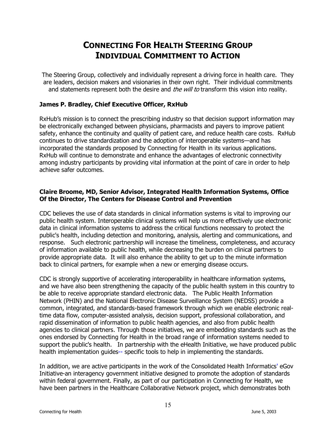## **CONNECTING FOR HEALTH STEERING GROUP INDIVIDUAL COMMITMENT TO ACTION**

The Steering Group, collectively and individually represent a driving force in health care. They are leaders, decision makers and visionaries in their own right. Their individual commitments and statements represent both the desire and *the will to* transform this vision into reality.

#### **James P. Bradley, Chief Executive Officer, RxHub**

RxHubís mission is to connect the prescribing industry so that decision support information may be electronically exchanged between physicians, pharmacists and payers to improve patient safety, enhance the continuity and quality of patient care, and reduce health care costs. RxHub continues to drive standardization and the adoption of interoperable systems—and has incorporated the standards proposed by Connecting for Health in its various applications. RxHub will continue to demonstrate and enhance the advantages of electronic connectivity among industry participants by providing vital information at the point of care in order to help achieve safer outcomes.

#### **Claire Broome, MD, Senior Advisor, Integrated Health Information Systems, Office Of the Director, The Centers for Disease Control and Prevention**

CDC believes the use of data standards in clinical information systems is vital to improving our public health system. Interoperable clinical systems will help us more effectively use electronic data in clinical information systems to address the critical functions necessary to protect the public's health, including detection and monitoring, analysis, alerting and communications, and response. Such electronic partnership will increase the timeliness, completeness, and accuracy of information available to public health, while decreasing the burden on clinical partners to provide appropriate data. It will also enhance the ability to get up to the minute information back to clinical partners, for example when a new or emerging disease occurs.

CDC is strongly supportive of accelerating interoperability in healthcare information systems, and we have also been strengthening the capacity of the public health system in this country to be able to receive appropriate standard electronic data. The Public Health Information Network (PHIN) and the National Electronic Disease Surveillance System (NEDSS) provide a common, integrated, and standards-based framework through which we enable electronic realtime data flow, computer-assisted analysis, decision support, professional collaboration, and rapid dissemination of information to public health agencies, and also from public health agencies to clinical partners. Through those initiatives, we are embedding standards such as the ones endorsed by Connecting for Health in the broad range of information systems needed to support the public's health. In partnership with the eHealth Initiative, we have produced public health implementation guides-- specific tools to help in implementing the standards.

In addition, we are active participants in the work of the Consolidated Health Informatics' eGov Initiative-an interagency government initiative designed to promote the adoption of standards within federal government. Finally, as part of our participation in Connecting for Health, we have been partners in the Healthcare Collaborative Network project, which demonstrates both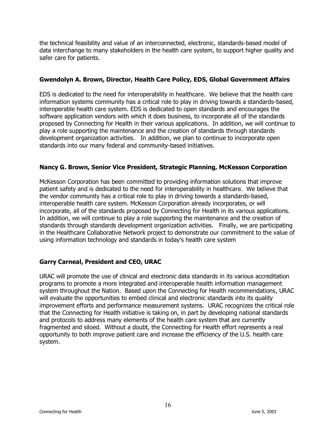the technical feasibility and value of an interconnected, electronic, standards-based model of data interchange to many stakeholders in the health care system, to support higher quality and safer care for patients.

#### **Gwendolyn A. Brown, Director, Health Care Policy, EDS, Global Government Affairs**

EDS is dedicated to the need for interoperability in healthcare. We believe that the health care information systems community has a critical role to play in driving towards a standards-based, interoperable health care system. EDS is dedicated to open standards and encourages the software application vendors with which it does business, to incorporate all of the standards proposed by Connecting for Health in their various applications. In addition, we will continue to play a role supporting the maintenance and the creation of standards through standards development organization activities. In addition, we plan to continue to incorporate open standards into our many federal and community-based initiatives.

#### **Nancy G. Brown, Senior Vice President, Strategic Planning, McKesson Corporation**

McKesson Corporation has been committed to providing information solutions that improve patient safety and is dedicated to the need for interoperability in healthcare. We believe that the vendor community has a critical role to play in driving towards a standards-based, interoperable health care system. McKesson Corporation already incorporates, or will incorporate, all of the standards proposed by Connecting for Health in its various applications. In addition, we will continue to play a role supporting the maintenance and the creation of standards through standards development organization activities. Finally, we are participating in the Healthcare Collaborative Network project to demonstrate our commitment to the value of using information technology and standards in today's health care system

#### **Garry Carneal, President and CEO, URAC**

URAC will promote the use of clinical and electronic data standards in its various accreditation programs to promote a more integrated and interoperable health information management system throughout the Nation. Based upon the Connecting for Health recommendations, URAC will evaluate the opportunities to embed clinical and electronic standards into its quality improvement efforts and performance measurement systems. URAC recognizes the critical role that the Connecting for Health initiative is taking on, in part by developing national standards and protocols to address many elements of the health care system that are currently fragmented and siloed. Without a doubt, the Connecting for Health effort represents a real opportunity to both improve patient care and increase the efficiency of the U.S. health care system.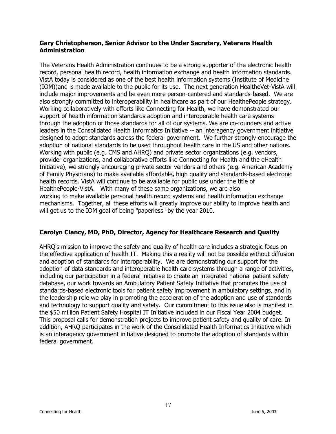#### **Gary Christopherson, Senior Advisor to the Under Secretary, Veterans Health Administration**

The Veterans Health Administration continues to be a strong supporter of the electronic health record, personal health record, health information exchange and health information standards. VistA today is considered as one of the best health information systems (Institute of Medicine (IOM))and is made available to the public for its use. The next generation HealtheVet-VistA will include major improvements and be even more person-centered and standards-based. We are also strongly committed to interoperability in healthcare as part of our HealthePeople strategy. Working collaboratively with efforts like Connecting for Health, we have demonstrated our support of health information standards adoption and interoperable health care systems through the adoption of those standards for all of our systems. We are co-founders and active leaders in the Consolidated Health Informatics Initiative -- an interagency government initiative designed to adopt standards across the federal government. We further strongly encourage the adoption of national standards to be used throughout health care in the US and other nations. Working with public (e.g. CMS and AHRQ) and private sector organizations (e.g. vendors, provider organizations, and collaborative efforts like Connecting for Health and the eHealth Initiative), we strongly encouraging private sector vendors and others (e.g. American Academy of Family Physicians) to make available affordable, high quality and standards-based electronic health records. VistA will continue to be available for public use under the title of HealthePeople-VistA. With many of these same organizations, we are also working to make available personal health record systems and health information exchange mechanisms. Together, all these efforts will greatly improve our ability to improve health and will get us to the IOM goal of being "paperless" by the year 2010.

#### **Carolyn Clancy, MD, PhD, Director, Agency for Healthcare Research and Quality**

AHRQ's mission to improve the safety and quality of health care includes a strategic focus on the effective application of health IT. Making this a reality will not be possible without diffusion and adoption of standards for interoperability. We are demonstrating our support for the adoption of data standards and interoperable health care systems through a range of activities, including our participation in a federal initiative to create an integrated national patient safety database, our work towards an Ambulatory Patient Safety Initiative that promotes the use of standards-based electronic tools for patient safety improvement in ambulatory settings, and in the leadership role we play in promoting the acceleration of the adoption and use of standards and technology to support quality and safety. Our commitment to this issue also is manifest in the \$50 million Patient Safety Hospital IT Initiative included in our Fiscal Year 2004 budget. This proposal calls for demonstration projects to improve patient safety and quality of care. In addition, AHRQ participates in the work of the Consolidated Health Informatics Initiative which is an interagency government initiative designed to promote the adoption of standards within federal government.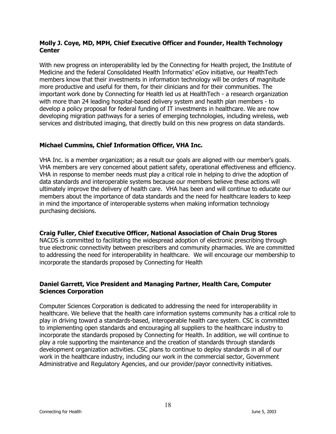#### **Molly J. Coye, MD, MPH, Chief Executive Officer and Founder, Health Technology Center**

With new progress on interoperability led by the Connecting for Health project, the Institute of Medicine and the federal Consolidated Health Informatics' eGov initiative, our HealthTech members know that their investments in information technology will be orders of magnitude more productive and useful for them, for their clinicians and for their communities. The important work done by Connecting for Health led us at HealthTech - a research organization with more than 24 leading hospital-based delivery system and health plan members - to develop a policy proposal for federal funding of IT investments in healthcare. We are now developing migration pathways for a series of emerging technologies, including wireless, web services and distributed imaging, that directly build on this new progress on data standards.

#### **Michael Cummins, Chief Information Officer, VHA Inc.**

VHA Inc. is a member organization; as a result our goals are aligned with our memberís goals. VHA members are very concerned about patient safety, operational effectiveness and efficiency. VHA in response to member needs must play a critical role in helping to drive the adoption of data standards and interoperable systems because our members believe these actions will ultimately improve the delivery of health care. VHA has been and will continue to educate our members about the importance of data standards and the need for healthcare leaders to keep in mind the importance of interoperable systems when making information technology purchasing decisions.

#### **Craig Fuller, Chief Executive Officer, National Association of Chain Drug Stores**

NACDS is committed to facilitating the widespread adoption of electronic prescribing through true electronic connectivity between prescribers and community pharmacies. We are committed to addressing the need for interoperability in healthcare. We will encourage our membership to incorporate the standards proposed by Connecting for Health

#### **Daniel Garrett, Vice President and Managing Partner, Health Care, Computer Sciences Corporation**

Computer Sciences Corporation is dedicated to addressing the need for interoperability in healthcare. We believe that the health care information systems community has a critical role to play in driving toward a standards-based, interoperable health care system. CSC is committed to implementing open standards and encouraging all suppliers to the healthcare industry to incorporate the standards proposed by Connecting for Health. In addition, we will continue to play a role supporting the maintenance and the creation of standards through standards development organization activities. CSC plans to continue to deploy standards in all of our work in the healthcare industry, including our work in the commercial sector, Government Administrative and Regulatory Agencies, and our provider/payor connectivity initiatives.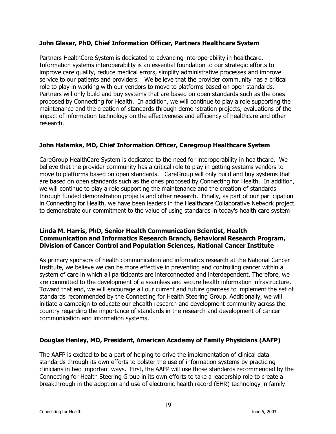#### **John Glaser, PhD, Chief Information Officer, Partners Healthcare System**

Partners HealthCare System is dedicated to advancing interoperability in healthcare. Information systems interoperability is an essential foundation to our strategic efforts to improve care quality, reduce medical errors, simplify administrative processes and improve service to our patients and providers. We believe that the provider community has a critical role to play in working with our vendors to move to platforms based on open standards. Partners will only build and buy systems that are based on open standards such as the ones proposed by Connecting for Health. In addition, we will continue to play a role supporting the maintenance and the creation of standards through demonstration projects, evaluations of the impact of information technology on the effectiveness and efficiency of healthcare and other research.

#### **John Halamka, MD, Chief Information Officer, Caregroup Healthcare System**

CareGroup HealthCare System is dedicated to the need for interoperability in healthcare. We believe that the provider community has a critical role to play in getting systems vendors to move to platforms based on open standards. CareGroup will only build and buy systems that are based on open standards such as the ones proposed by Connecting for Health. In addition, we will continue to play a role supporting the maintenance and the creation of standards through funded demonstration projects and other research. Finally, as part of our participation in Connecting for Health, we have been leaders in the Healthcare Collaborative Network project to demonstrate our commitment to the value of using standards in today's health care system

#### **Linda M. Harris, PhD, Senior Health Communication Scientist, Health Communication and Informatics Research Branch, Behavioral Research Program, Division of Cancer Control and Population Sciences, National Cancer Institute**

As primary sponsors of health communication and informatics research at the National Cancer Institute, we believe we can be more effective in preventing and controlling cancer within a system of care in which all participants are interconnected and interdependent. Therefore, we are committed to the development of a seamless and secure health information infrastructure. Toward that end, we will encourage all our current and future grantees to implement the set of standards recommended by the Connecting for Health Steering Group. Additionally, we will initiate a campaign to educate our ehealth research and development community across the country regarding the importance of standards in the research and development of cancer communication and information systems.

#### **Douglas Henley, MD, President, American Academy of Family Physicians (AAFP)**

The AAFP is excited to be a part of helping to drive the implementation of clinical data standards through its own efforts to bolster the use of information systems by practicing clinicians in two important ways. First, the AAFP will use those standards recommended by the Connecting for Health Steering Group in its own efforts to take a leadership role to create a breakthrough in the adoption and use of electronic health record (EHR) technology in family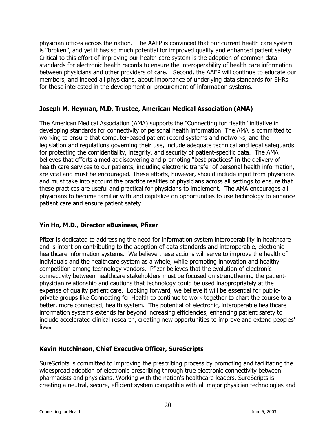physician offices across the nation. The AAFP is convinced that our current health care system is "broken", and yet it has so much potential for improved quality and enhanced patient safety. Critical to this effort of improving our health care system is the adoption of common data standards for electronic health records to ensure the interoperability of health care information between physicians and other providers of care. Second, the AAFP will continue to educate our members, and indeed all physicians, about importance of underlying data standards for EHRs for those interested in the development or procurement of information systems.

#### **Joseph M. Heyman, M.D, Trustee, American Medical Association (AMA)**

The American Medical Association (AMA) supports the "Connecting for Health" initiative in developing standards for connectivity of personal health information. The AMA is committed to working to ensure that computer-based patient record systems and networks, and the legislation and regulations governing their use, include adequate technical and legal safeguards for protecting the confidentiality, integrity, and security of patient-specific data. The AMA believes that efforts aimed at discovering and promoting "best practices" in the delivery of health care services to our patients, including electronic transfer of personal health information, are vital and must be encouraged. These efforts, however, should include input from physicians and must take into account the practice realities of physicians across all settings to ensure that these practices are useful and practical for physicians to implement. The AMA encourages all physicians to become familiar with and capitalize on opportunities to use technology to enhance patient care and ensure patient safety.

#### **Yin Ho, M.D., Director eBusiness, Pfizer**

Pfizer is dedicated to addressing the need for information system interoperability in healthcare and is intent on contributing to the adoption of data standards and interoperable, electronic healthcare information systems. We believe these actions will serve to improve the health of individuals and the healthcare system as a whole, while promoting innovation and healthy competition among technology vendors. Pfizer believes that the evolution of electronic connectivity between healthcare stakeholders must be focused on strengthening the patientphysician relationship and cautions that technology could be used inappropriately at the expense of quality patient care. Looking forward, we believe it will be essential for publicprivate groups like Connecting for Health to continue to work together to chart the course to a better, more connected, health system. The potential of electronic, interoperable healthcare information systems extends far beyond increasing efficiencies, enhancing patient safety to include accelerated clinical research, creating new opportunities to improve and extend peoples' lives

#### **Kevin Hutchinson, Chief Executive Officer, SureScripts**

SureScripts is committed to improving the prescribing process by promoting and facilitating the widespread adoption of electronic prescribing through true electronic connectivity between pharmacists and physicians. Working with the nation's healthcare leaders, SureScripts is creating a neutral, secure, efficient system compatible with all major physician technologies and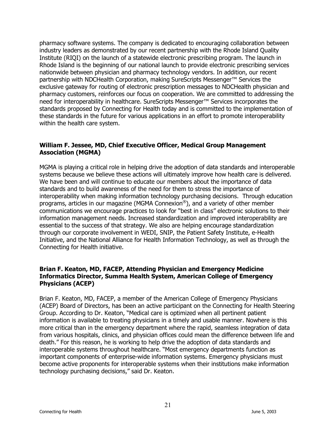pharmacy software systems. The company is dedicated to encouraging collaboration between industry leaders as demonstrated by our recent partnership with the Rhode Island Quality Institute (RIQI) on the launch of a statewide electronic prescribing program. The launch in Rhode Island is the beginning of our national launch to provide electronic prescribing services nationwide between physician and pharmacy technology vendors. In addition, our recent partnership with NDCHealth Corporation, making SureScripts Messenger<sup>™</sup> Services the exclusive gateway for routing of electronic prescription messages to NDCHealth physician and pharmacy customers, reinforces our focus on cooperation. We are committed to addressing the need for interoperability in healthcare. SureScripts Messenger<sup>™</sup> Services incorporates the standards proposed by Connecting for Health today and is committed to the implementation of these standards in the future for various applications in an effort to promote interoperability within the health care system.

#### **William F. Jessee, MD, Chief Executive Officer, Medical Group Management Association (MGMA)**

MGMA is playing a critical role in helping drive the adoption of data standards and interoperable systems because we believe these actions will ultimately improve how health care is delivered. We have been and will continue to educate our members about the importance of data standards and to build awareness of the need for them to stress the importance of interoperability when making information technology purchasing decisions. Through education programs, articles in our magazine (MGMA Connexion<sup>®</sup>), and a variety of other member communications we encourage practices to look for "best in class" electronic solutions to their information management needs. Increased standardization and improved interoperability are essential to the success of that strategy. We also are helping encourage standardization through our corporate involvement in WEDI, SNIP, the Patient Safety Institute, e-Health Initiative, and the National Alliance for Health Information Technology, as well as through the Connecting for Health initiative.

#### **Brian F. Keaton, MD, FACEP, Attending Physician and Emergency Medicine Informatics Director, Summa Health System, American College of Emergency Physicians (ACEP)**

Brian F. Keaton, MD, FACEP, a member of the American College of Emergency Physicians (ACEP) Board of Directors, has been an active participant on the Connecting for Health Steering Group. According to Dr. Keaton, "Medical care is optimized when all pertinent patient information is available to treating physicians in a timely and usable manner. Nowhere is this more critical than in the emergency department where the rapid, seamless integration of data from various hospitals, clinics, and physician offices could mean the difference between life and death." For this reason, he is working to help drive the adoption of data standards and interoperable systems throughout healthcare. "Most emergency departments function as important components of enterprise-wide information systems. Emergency physicians must become active proponents for interoperable systems when their institutions make information technology purchasing decisions," said Dr. Keaton.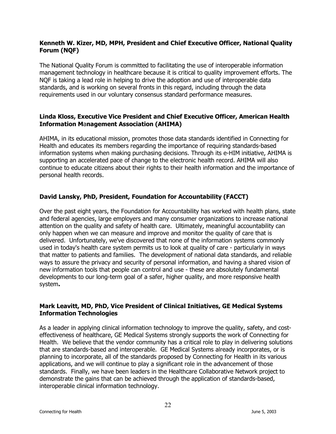#### **Kenneth W. Kizer, MD, MPH, President and Chief Executive Officer, National Quality Forum (NQF)**

The National Quality Forum is committed to facilitating the use of interoperable information management technology in healthcare because it is critical to quality improvement efforts. The NQF is taking a lead role in helping to drive the adoption and use of interoperable data standards, and is working on several fronts in this regard, including through the data requirements used in our voluntary consensus standard performance measures.

#### **Linda Kloss, Executive Vice President and Chief Executive Officer, American Health Information M**a**nagement Association (AHIMA)**

AHIMA, in its educational mission, promotes those data standards identified in Connecting for Health and educates its members regarding the importance of requiring standards-based information systems when making purchasing decisions. Through its e-HIM initiative, AHIMA is supporting an accelerated pace of change to the electronic health record. AHIMA will also continue to educate citizens about their rights to their health information and the importance of personal health records.

#### **David Lansky, PhD, President, Foundation for Accountability (FACCT)**

Over the past eight years, the Foundation for Accountability has worked with health plans, state and federal agencies, large employers and many consumer organizations to increase national attention on the quality and safety of health care. Ultimately, meaningful accountability can only happen when we can measure and improve and monitor the quality of care that is delivered. Unfortunately, we've discovered that none of the information systems commonly used in today's health care system permits us to look at quality of care - particularly in ways that matter to patients and families. The development of national data standards, and reliable ways to assure the privacy and security of personal information, and having a shared vision of new information tools that people can control and use - these are absolutely fundamental developments to our long-term goal of a safer, higher quality, and more responsive health system**.** 

#### **Mark Leavitt, MD, PhD, Vice President of Clinical Initiatives, GE Medical Systems Information Technologies**

As a leader in applying clinical information technology to improve the quality, safety, and costeffectiveness of healthcare, GE Medical Systems strongly supports the work of Connecting for Health. We believe that the vendor community has a critical role to play in delivering solutions that are standards-based and interoperable. GE Medical Systems already incorporates, or is planning to incorporate, all of the standards proposed by Connecting for Health in its various applications, and we will continue to play a significant role in the advancement of those standards. Finally, we have been leaders in the Healthcare Collaborative Network project to demonstrate the gains that can be achieved through the application of standards-based, interoperable clinical information technology.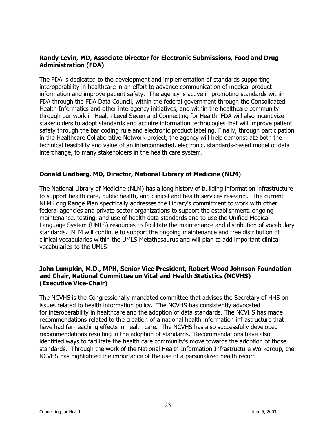#### **Randy Levin, MD, Associate Director for Electronic Submissions, Food and Drug Administration (FDA)**

The FDA is dedicated to the development and implementation of standards supporting interoperability in healthcare in an effort to advance communication of medical product information and improve patient safety. The agency is active in promoting standards within FDA through the FDA Data Council, within the federal government through the Consolidated Health Informatics and other interagency initiatives, and within the healthcare community through our work in Health Level Seven and Connecting for Health. FDA will also incentivize stakeholders to adopt standards and acquire information technologies that will improve patient safety through the bar coding rule and electronic product labeling. Finally, through participation in the Healthcare Collaborative Network project, the agency will help demonstrate both the technical feasibility and value of an interconnected, electronic, standards-based model of data interchange, to many stakeholders in the health care system.

#### **Donald Lindberg, MD, Director, National Library of Medicine (NLM)**

The National Library of Medicine (NLM) has a long history of building information infrastructure to support health care, public health, and clinical and health services research. The current NLM Long Range Plan specifically addresses the Library's commitment to work with other federal agencies and private sector organizations to support the establishment, ongoing maintenance, testing, and use of health data standards and to use the Unified Medical Language System (UMLS) resources to facilitate the maintenance and distribution of vocabulary standards. NLM will continue to support the ongoing maintenance and free distribution of clinical vocabularies within the UMLS Metathesaurus and will plan to add important clinical vocabularies to the UMLS

#### **John Lumpkin, M.D., MPH, Senior Vice President, Robert Wood Johnson Foundation and Chair, National Committee on Vital and Health Statistics (NCVHS) (Executive Vice-Chair)**

The NCVHS is the Congressionally mandated committee that advises the Secretary of HHS on issues related to health information policy. The NCVHS has consistently advocated for interoperability in healthcare and the adoption of data standards. The NCVHS has made recommendations related to the creation of a national health information infrastructure that have had far-reaching effects in health care. The NCVHS has also successfully developed recommendations resulting in the adoption of standards. Recommendations have also identified ways to facilitate the health care community's move towards the adoption of those standards. Through the work of the National Health Information Infrastructure Workgroup, the NCVHS has highlighted the importance of the use of a personalized health record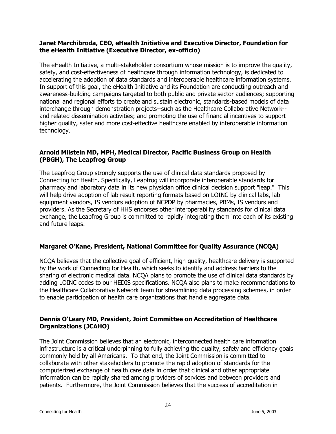#### **Janet Marchibroda, CEO, eHealth Initiative and Executive Director, Foundation for the eHealth Initiative (Executive Director, ex-officio)**

The eHealth Initiative, a multi-stakeholder consortium whose mission is to improve the quality, safety, and cost-effectiveness of healthcare through information technology, is dedicated to accelerating the adoption of data standards and interoperable healthcare information systems. In support of this goal, the eHealth Initiative and its Foundation are conducting outreach and awareness-building campaigns targeted to both public and private sector audiences; supporting national and regional efforts to create and sustain electronic, standards-based models of data interchange through demonstration projects--such as the Healthcare Collaborative Network- and related dissemination activities; and promoting the use of financial incentives to support higher quality, safer and more cost-effective healthcare enabled by interoperable information technology.

#### **Arnold Milstein MD, MPH, Medical Director, Pacific Business Group on Health (PBGH), The Leapfrog Group**

The Leapfrog Group strongly supports the use of clinical data standards proposed by Connecting for Health. Specifically, Leapfrog will incorporate interoperable standards for pharmacy and laboratory data in its new physician office clinical decision support "leap." This will help drive adoption of lab result reporting formats based on LOINC by clinical labs, lab equipment vendors, IS vendors adoption of NCPDP by pharmacies, PBMs, IS vendors and providers. As the Secretary of HHS endorses other interoperability standards for clinical data exchange, the Leapfrog Group is committed to rapidly integrating them into each of its existing and future leaps.

#### **Margaret OíKane, President, National Committee for Quality Assurance (NCQA)**

NCQA believes that the collective goal of efficient, high quality, healthcare delivery is supported by the work of Connecting for Health, which seeks to identify and address barriers to the sharing of electronic medical data. NCQA plans to promote the use of clinical data standards by adding LOINC codes to our HEDIS specifications. NCQA also plans to make recommendations to the Healthcare Collaborative Network team for streamlining data processing schemes, in order to enable participation of health care organizations that handle aggregate data.

#### **Dennis OíLeary MD, President, Joint Committee on Accreditation of Healthcare Organizations (JCAHO)**

The Joint Commission believes that an electronic, interconnected health care information infrastructure is a critical underpinning to fully achieving the quality, safety and efficiency goals commonly held by all Americans. To that end, the Joint Commission is committed to collaborate with other stakeholders to promote the rapid adoption of standards for the computerized exchange of health care data in order that clinical and other appropriate information can be rapidly shared among providers of services and between providers and patients. Furthermore, the Joint Commission believes that the success of accreditation in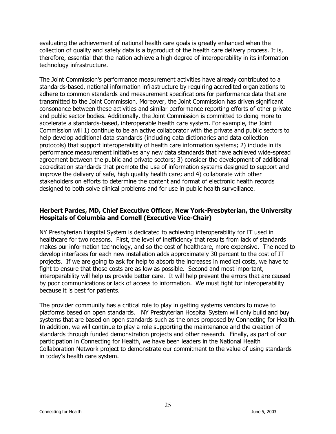evaluating the achievement of national health care goals is greatly enhanced when the collection of quality and safety data is a byproduct of the health care delivery process. It is, therefore, essential that the nation achieve a high degree of interoperability in its information technology infrastructure.

The Joint Commissionís performance measurement activities have already contributed to a standards-based, national information infrastructure by requiring accredited organizations to adhere to common standards and measurement specifications for performance data that are transmitted to the Joint Commission. Moreover, the Joint Commission has driven significant consonance between these activities and similar performance reporting efforts of other private and public sector bodies. Additionally, the Joint Commission is committed to doing more to accelerate a standards-based, interoperable health care system. For example, the Joint Commission will 1) continue to be an active collaborator with the private and public sectors to help develop additional data standards (including data dictionaries and data collection protocols) that support interoperability of health care information systems; 2) include in its performance measurement initiatives any new data standards that have achieved wide-spread agreement between the public and private sectors; 3) consider the development of additional accreditation standards that promote the use of information systems designed to support and improve the delivery of safe, high quality health care; and 4) collaborate with other stakeholders on efforts to determine the content and format of electronic health records designed to both solve clinical problems and for use in public health surveillance.

#### **Herbert Pardes, MD, Chief Executive Officer, New York-Presbyterian, the University Hospitals of Columbia and Cornell (Executive Vice-Chair)**

NY Presbyterian Hospital System is dedicated to achieving interoperability for IT used in healthcare for two reasons. First, the level of inefficiency that results from lack of standards makes our information technology, and so the cost of healthcare, more expensive. The need to develop interfaces for each new installation adds approximately 30 percent to the cost of IT projects. If we are going to ask for help to absorb the increases in medical costs, we have to fight to ensure that those costs are as low as possible. Second and most important, interoperability will help us provide better care. It will help prevent the errors that are caused by poor communications or lack of access to information. We must fight for interoperability because it is best for patients.

The provider community has a critical role to play in getting systems vendors to move to platforms based on open standards. NY Presbyterian Hospital System will only build and buy systems that are based on open standards such as the ones proposed by Connecting for Health. In addition, we will continue to play a role supporting the maintenance and the creation of standards through funded demonstration projects and other research. Finally, as part of our participation in Connecting for Health, we have been leaders in the National Health Collaboration Network project to demonstrate our commitment to the value of using standards in todayís health care system.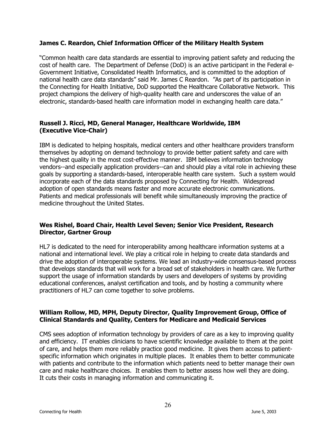#### **James C. Reardon, Chief Information Officer of the Military Health System**

ìCommon health care data standards are essential to improving patient safety and reducing the cost of health care. The Department of Defense (DoD) is an active participant in the Federal e-Government Initiative, Consolidated Health Informatics, and is committed to the adoption of national health care data standards" said Mr. James C Reardon. "As part of its participation in the Connecting for Health Initiative, DoD supported the Healthcare Collaborative Network. This project champions the delivery of high-quality health care and underscores the value of an electronic, standards-based health care information model in exchanging health care data."

#### **Russell J. Ricci, MD, General Manager, Healthcare Worldwide, IBM (Executive Vice-Chair)**

IBM is dedicated to helping hospitals, medical centers and other healthcare providers transform themselves by adopting on demand technology to provide better patient safety and care with the highest quality in the most cost-effective manner. IBM believes information technology vendors--and especially application providers--can and should play a vital role in achieving these goals by supporting a standards-based, interoperable health care system. Such a system would incorporate each of the data standards proposed by Connecting for Health. Widespread adoption of open standards means faster and more accurate electronic communications. Patients and medical professionals will benefit while simultaneously improving the practice of medicine throughout the United States.

#### **Wes Rishel, Board Chair, Health Level Seven; Senior Vice President, Research Director, Gartner Group**

HL7 is dedicated to the need for interoperability among healthcare information systems at a national and international level. We play a critical role in helping to create data standards and drive the adoption of interoperable systems. We lead an industry-wide consensus-based process that develops standards that will work for a broad set of stakeholders in health care. We further support the usage of information standards by users and developers of systems by providing educational conferences, analyst certification and tools, and by hosting a community where practitioners of HL7 can come together to solve problems.

#### **William Rollow, MD, MPH, Deputy Director, Quality Improvement Group, Office of Clinical Standards and Quality, Centers for Medicare and Medicaid Services**

CMS sees adoption of information technology by providers of care as a key to improving quality and efficiency. IT enables clinicians to have scientific knowledge available to them at the point of care, and helps them more reliably practice good medicine. It gives them access to patientspecific information which originates in multiple places. It enables them to better communicate with patients and contribute to the information which patients need to better manage their own care and make healthcare choices. It enables them to better assess how well they are doing. It cuts their costs in managing information and communicating it.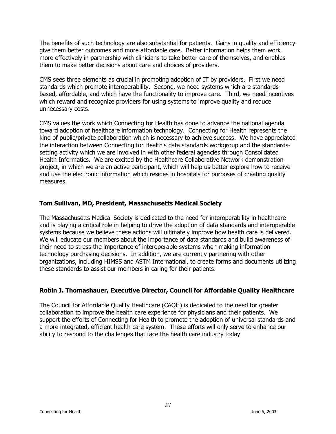The benefits of such technology are also substantial for patients. Gains in quality and efficiency give them better outcomes and more affordable care. Better information helps them work more effectively in partnership with clinicians to take better care of themselves, and enables them to make better decisions about care and choices of providers.

CMS sees three elements as crucial in promoting adoption of IT by providers. First we need standards which promote interoperability. Second, we need systems which are standardsbased, affordable, and which have the functionality to improve care. Third, we need incentives which reward and recognize providers for using systems to improve quality and reduce unnecessary costs.

CMS values the work which Connecting for Health has done to advance the national agenda toward adoption of healthcare information technology. Connecting for Health represents the kind of public/private collaboration which is necessary to achieve success. We have appreciated the interaction between Connecting for Health's data standards workgroup and the standardssetting activity which we are involved in with other federal agencies through Consolidated Health Informatics. We are excited by the Healthcare Collaborative Network demonstration project, in which we are an active participant, which will help us better explore how to receive and use the electronic information which resides in hospitals for purposes of creating quality measures.

#### **Tom Sullivan, MD, President, Massachusetts Medical Society**

The Massachusetts Medical Society is dedicated to the need for interoperability in healthcare and is playing a critical role in helping to drive the adoption of data standards and interoperable systems because we believe these actions will ultimately improve how health care is delivered. We will educate our members about the importance of data standards and build awareness of their need to stress the importance of interoperable systems when making information technology purchasing decisions. In addition, we are currently partnering with other organizations, including HIMSS and ASTM International, to create forms and documents utilizing these standards to assist our members in caring for their patients.

#### **Robin J. Thomashauer, Executive Director, Council for Affordable Quality Healthcare**

The Council for Affordable Quality Healthcare (CAQH) is dedicated to the need for greater collaboration to improve the health care experience for physicians and their patients. We support the efforts of Connecting for Health to promote the adoption of universal standards and a more integrated, efficient health care system. These efforts will only serve to enhance our ability to respond to the challenges that face the health care industry today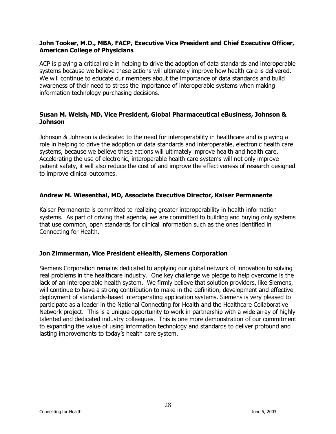#### **John Tooker, M.D., MBA, FACP, Executive Vice President and Chief Executive Officer, American College of Physicians**

ACP is playing a critical role in helping to drive the adoption of data standards and interoperable systems because we believe these actions will ultimately improve how health care is delivered. We will continue to educate our members about the importance of data standards and build awareness of their need to stress the importance of interoperable systems when making information technology purchasing decisions.

#### **Susan M. Welsh, MD, Vice President, Global Pharmaceutical eBusiness, Johnson & Johnson**

Johnson & Johnson is dedicated to the need for interoperability in healthcare and is playing a role in helping to drive the adoption of data standards and interoperable, electronic health care systems, because we believe these actions will ultimately improve health and health care. Accelerating the use of electronic, interoperable health care systems will not only improve patient safety, it will also reduce the cost of and improve the effectiveness of research designed to improve clinical outcomes.

#### **Andrew M. Wiesenthal, MD, Associate Executive Director, Kaiser Permanente**

Kaiser Permanente is committed to realizing greater interoperability in health information systems. As part of driving that agenda, we are committed to building and buying only systems that use common, open standards for clinical information such as the ones identified in Connecting for Health.

#### **Jon Zimmerman, Vice President eHealth, Siemens Corporation**

Siemens Corporation remains dedicated to applying our global network of innovation to solving real problems in the healthcare industry. One key challenge we pledge to help overcome is the lack of an interoperable health system. We firmly believe that solution providers, like Siemens, will continue to have a strong contribution to make in the definition, development and effective deployment of standards-based interoperating application systems. Siemens is very pleased to participate as a leader in the National Connecting for Health and the Healthcare Collaborative Network project. This is a unique opportunity to work in partnership with a wide array of highly talented and dedicated industry colleagues. This is one more demonstration of our commitment to expanding the value of using information technology and standards to deliver profound and lasting improvements to today's health care system.